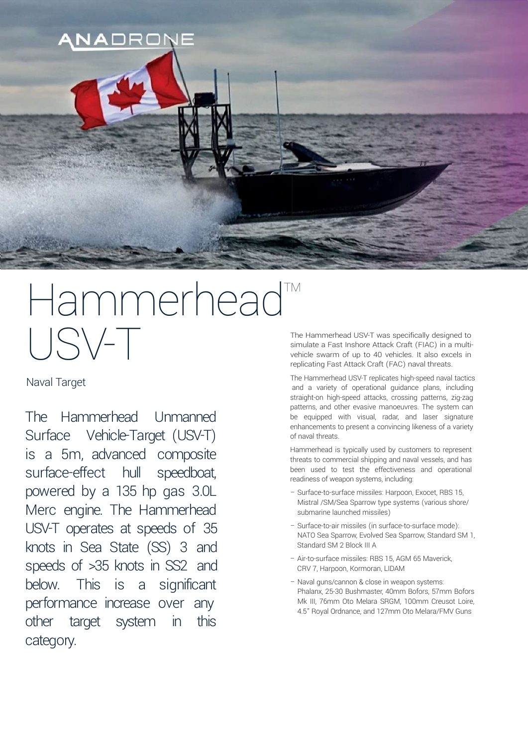

# Hammerhead<sup>™</sup> USV-T

Naval Target

The Hammerhead Unmanned Surface Vehicle-Target (USV-T) is a 5m, advanced composite surface-effect hull speedboat, powered by a 135 hp gas 3.0L Merc engine. The Hammerhead USV-T operates at speeds of 35 knots in Sea State (SS) 3 and speeds of >35 knots in SS2 and below. This is a significant performance increase over any other target system in this category.

The Hammerhead USV-T was specifically designed to simulate a Fast Inshore Attack Craft (FIAC) in a multivehicle swarm of up to 40 vehicles. It also excels in replicating Fast Attack Craft (FAC) naval threats.

The Hammerhead USV-T replicates high-speed naval tactics and a variety of operational guidance plans, including straight-on high-speed attacks, crossing patterns, zig-zag patterns, and other evasive manoeuvres. The system can be equipped with visual, radar, and laser signature enhancements to present a convincing likeness of a variety of naval threats.

Hammerhead is typically used by customers to represent threats to commercial shipping and naval vessels, and has been used to test the effectiveness and operational readiness of weapon systems, including:

- Surface-to-surface missiles: Harpoon, Exocet, RBS 15, Mistral /SM/Sea Sparrow type systems (various shore/ submarine launched missiles)
- Surface-to-air missiles (in surface-to-surface mode): NATO Sea Sparrow, Evolved Sea Sparrow, Standard SM 1, Standard SM 2 Block III A
- Air-to-surface missiles: RBS 15, AGM 65 Maverick, CRV 7, Harpoon, Kormoran, LIDAM
- Naval guns/cannon & close in weapon systems: Phalanx, 25-30 Bushmaster, 40mm Bofors, 57mm Bofors Mk III, 76mm Oto Melara SRGM, 100mm Creusot Loire, 4.5" Royal Ordnance, and 127mm Oto Melara/FMV Guns